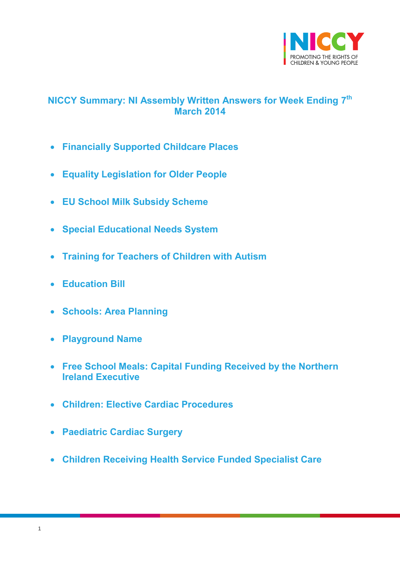

# <span id="page-0-0"></span>**NICCY Summary: NI Assembly Written Answers for Week Ending 7 th March 2014**

- **[Financially Supported Childcare Places](#page-2-0)**
- **[Equality Legislation for Older People](#page-3-0)**
- **[EU School Milk Subsidy Scheme](#page-3-1)**
- **[Special Educational Needs System](#page-4-0)**
- **[Training for Teachers of Children with Autism](#page-5-0)**
- **[Education Bill](#page-6-0)**
- **[Schools: Area Planning](#page-6-1)**
- **[Playground Name](#page-7-0)**
- **[Free School Meals: Capital Funding Received by the Northern](#page-8-0)  [Ireland Executive](#page-8-0)**
- **[Children: Elective Cardiac Procedures](#page-8-1)**
- **[Paediatric Cardiac Surgery](#page-9-0)**
- **[Children Receiving Health Service Funded Specialist Care](#page-9-1)**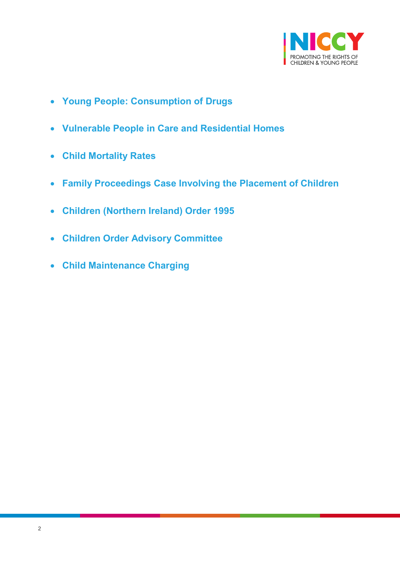

- **[Young People: Consumption of Drugs](#page-11-0)**
- **[Vulnerable People in Care and Residential Homes](#page-12-0)**
- **[Child Mortality Rates](#page-14-0)**
- **[Family Proceedings Case Involving the Placement of Children](#page-15-0)**
- **[Children \(Northern Ireland\) Order 1995](#page-15-1)**
- **[Children Order Advisory Committee](#page-15-2)**
- **[Child Maintenance Charging](#page-16-0)**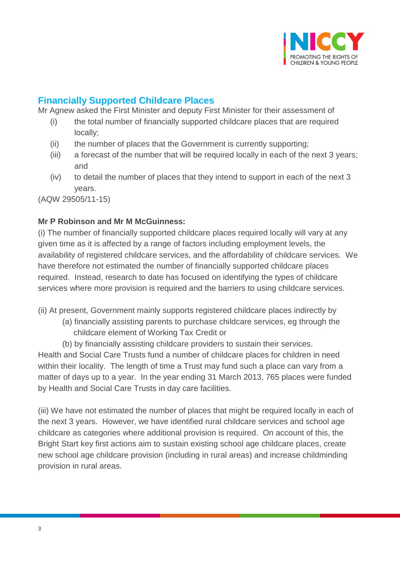

# <span id="page-2-0"></span>**Financially Supported Childcare Places**

Mr Agnew asked the First Minister and deputy First Minister for their assessment of

- (i) the total number of financially supported childcare places that are required locally;
- (ii) the number of places that the Government is currently supporting;
- (iii) a forecast of the number that will be required locally in each of the next 3 years; and
- (iv) to detail the number of places that they intend to support in each of the next 3 years.

(AQW 29505/11-15)

### **Mr P Robinson and Mr M McGuinness:**

(i) The number of financially supported childcare places required locally will vary at any given time as it is affected by a range of factors including employment levels, the availability of registered childcare services, and the affordability of childcare services. We have therefore not estimated the number of financially supported childcare places required. Instead, research to date has focused on identifying the types of childcare services where more provision is required and the barriers to using childcare services.

(ii) At present, Government mainly supports registered childcare places indirectly by

- (a) financially assisting parents to purchase childcare services, eg through the childcare element of Working Tax Credit or
- (b) by financially assisting childcare providers to sustain their services.

Health and Social Care Trusts fund a number of childcare places for children in need within their locality. The length of time a Trust may fund such a place can vary from a matter of days up to a year. In the year ending 31 March 2013, 765 places were funded by Health and Social Care Trusts in day care facilities.

(iii) We have not estimated the number of places that might be required locally in each of the next 3 years. However, we have identified rural childcare services and school age childcare as categories where additional provision is required. On account of this, the Bright Start key first actions aim to sustain existing school age childcare places, create new school age childcare provision (including in rural areas) and increase childminding provision in rural areas.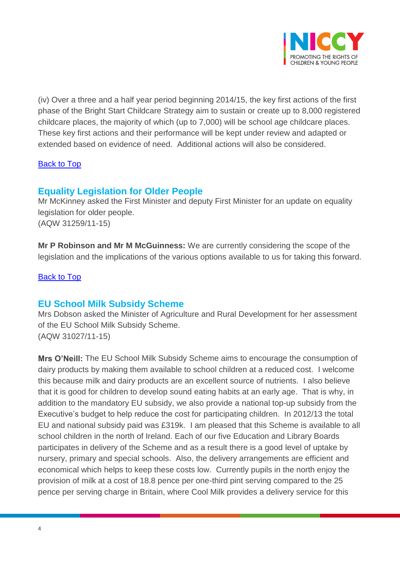

(iv) Over a three and a half year period beginning 2014/15, the key first actions of the first phase of the Bright Start Childcare Strategy aim to sustain or create up to 8,000 registered childcare places, the majority of which (up to 7,000) will be school age childcare places. These key first actions and their performance will be kept under review and adapted or extended based on evidence of need. Additional actions will also be considered.

## **[Back to Top](#page-0-0)**

# <span id="page-3-0"></span>**Equality Legislation for Older People**

Mr McKinney asked the First Minister and deputy First Minister for an update on equality legislation for older people. (AQW 31259/11-15)

**Mr P Robinson and Mr M McGuinness:** We are currently considering the scope of the legislation and the implications of the various options available to us for taking this forward.

[Back to Top](#page-0-0)

# <span id="page-3-1"></span>**EU School Milk Subsidy Scheme**

Mrs Dobson asked the Minister of Agriculture and Rural Development for her assessment of the EU School Milk Subsidy Scheme. (AQW 31027/11-15)

**Mrs O'Neill:** The EU School Milk Subsidy Scheme aims to encourage the consumption of dairy products by making them available to school children at a reduced cost. I welcome this because milk and dairy products are an excellent source of nutrients. I also believe that it is good for children to develop sound eating habits at an early age. That is why, in addition to the mandatory EU subsidy, we also provide a national top-up subsidy from the Executive's budget to help reduce the cost for participating children. In 2012/13 the total EU and national subsidy paid was £319k. I am pleased that this Scheme is available to all school children in the north of Ireland. Each of our five Education and Library Boards participates in delivery of the Scheme and as a result there is a good level of uptake by nursery, primary and special schools. Also, the delivery arrangements are efficient and economical which helps to keep these costs low. Currently pupils in the north enjoy the provision of milk at a cost of 18.8 pence per one-third pint serving compared to the 25 pence per serving charge in Britain, where Cool Milk provides a delivery service for this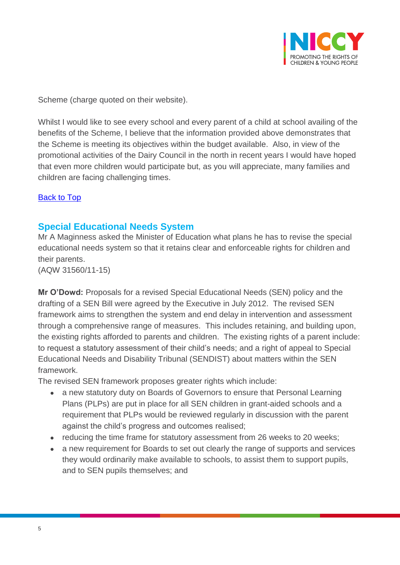

Scheme (charge quoted on their website).

Whilst I would like to see every school and every parent of a child at school availing of the benefits of the Scheme, I believe that the information provided above demonstrates that the Scheme is meeting its objectives within the budget available. Also, in view of the promotional activities of the Dairy Council in the north in recent years I would have hoped that even more children would participate but, as you will appreciate, many families and children are facing challenging times.

### <span id="page-4-0"></span>[Back to Top](#page-0-0)

## **Special Educational Needs System**

Mr A Maginness asked the Minister of Education what plans he has to revise the special educational needs system so that it retains clear and enforceable rights for children and their parents.

(AQW 31560/11-15)

**Mr O'Dowd:** Proposals for a revised Special Educational Needs (SEN) policy and the drafting of a SEN Bill were agreed by the Executive in July 2012. The revised SEN framework aims to strengthen the system and end delay in intervention and assessment through a comprehensive range of measures. This includes retaining, and building upon, the existing rights afforded to parents and children. The existing rights of a parent include: to request a statutory assessment of their child's needs; and a right of appeal to Special Educational Needs and Disability Tribunal (SENDIST) about matters within the SEN framework.

The revised SEN framework proposes greater rights which include:

- a new statutory duty on Boards of Governors to ensure that Personal Learning Plans (PLPs) are put in place for all SEN children in grant-aided schools and a requirement that PLPs would be reviewed regularly in discussion with the parent against the child's progress and outcomes realised;
- reducing the time frame for statutory assessment from 26 weeks to 20 weeks;
- a new requirement for Boards to set out clearly the range of supports and services they would ordinarily make available to schools, to assist them to support pupils, and to SEN pupils themselves; and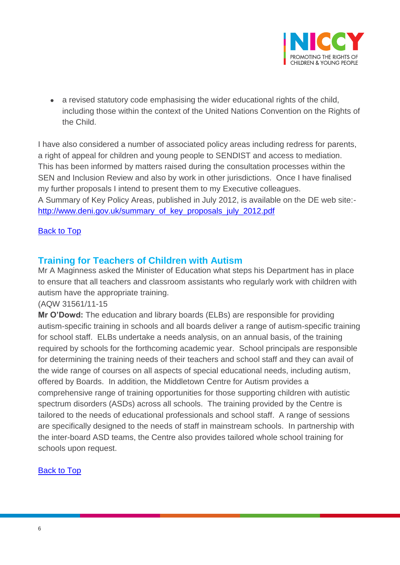

 a revised statutory code emphasising the wider educational rights of the child, including those within the context of the United Nations Convention on the Rights of the Child.

I have also considered a number of associated policy areas including redress for parents, a right of appeal for children and young people to SENDIST and access to mediation. This has been informed by matters raised during the consultation processes within the SEN and Inclusion Review and also by work in other jurisdictions. Once I have finalised my further proposals I intend to present them to my Executive colleagues. A Summary of Key Policy Areas, published in July 2012, is available on the DE web site: [http://www.deni.gov.uk/summary\\_of\\_key\\_proposals\\_july\\_2012.pdf](http://www.deni.gov.uk/summary_of_key_proposals_july_2012.pdf)

### [Back to Top](#page-0-0)

## <span id="page-5-0"></span>**Training for Teachers of Children with Autism**

Mr A Maginness asked the Minister of Education what steps his Department has in place to ensure that all teachers and classroom assistants who regularly work with children with autism have the appropriate training.

(AQW 31561/11-15

**Mr O'Dowd:** The education and library boards (ELBs) are responsible for providing autism-specific training in schools and all boards deliver a range of autism-specific training for school staff. ELBs undertake a needs analysis, on an annual basis, of the training required by schools for the forthcoming academic year. School principals are responsible for determining the training needs of their teachers and school staff and they can avail of the wide range of courses on all aspects of special educational needs, including autism, offered by Boards. In addition, the Middletown Centre for Autism provides a comprehensive range of training opportunities for those supporting children with autistic spectrum disorders (ASDs) across all schools. The training provided by the Centre is tailored to the needs of educational professionals and school staff. A range of sessions are specifically designed to the needs of staff in mainstream schools. In partnership with the inter-board ASD teams, the Centre also provides tailored whole school training for schools upon request.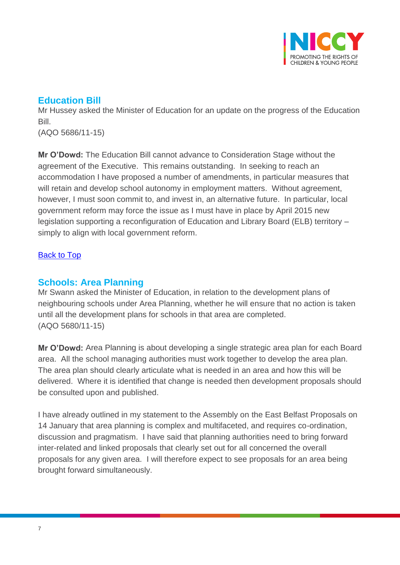

# <span id="page-6-0"></span>**Education Bill**

Mr Hussey asked the Minister of Education for an update on the progress of the Education Bill.

(AQO 5686/11-15)

**Mr O'Dowd:** The Education Bill cannot advance to Consideration Stage without the agreement of the Executive. This remains outstanding. In seeking to reach an accommodation I have proposed a number of amendments, in particular measures that will retain and develop school autonomy in employment matters. Without agreement, however, I must soon commit to, and invest in, an alternative future. In particular, local government reform may force the issue as I must have in place by April 2015 new legislation supporting a reconfiguration of Education and Library Board (ELB) territory – simply to align with local government reform.

## [Back to Top](#page-0-0)

# <span id="page-6-1"></span>**Schools: Area Planning**

Mr Swann asked the Minister of Education, in relation to the development plans of neighbouring schools under Area Planning, whether he will ensure that no action is taken until all the development plans for schools in that area are completed. (AQO 5680/11-15)

**Mr O'Dowd:** Area Planning is about developing a single strategic area plan for each Board area. All the school managing authorities must work together to develop the area plan. The area plan should clearly articulate what is needed in an area and how this will be delivered. Where it is identified that change is needed then development proposals should be consulted upon and published.

I have already outlined in my statement to the Assembly on the East Belfast Proposals on 14 January that area planning is complex and multifaceted, and requires co-ordination, discussion and pragmatism. I have said that planning authorities need to bring forward inter-related and linked proposals that clearly set out for all concerned the overall proposals for any given area. I will therefore expect to see proposals for an area being brought forward simultaneously.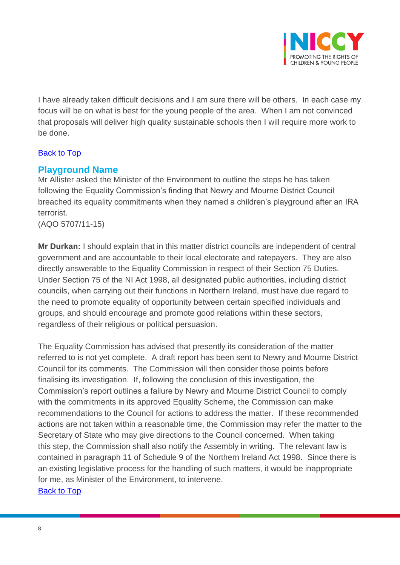

I have already taken difficult decisions and I am sure there will be others. In each case my focus will be on what is best for the young people of the area. When I am not convinced that proposals will deliver high quality sustainable schools then I will require more work to be done.

## [Back to Top](#page-0-0)

## <span id="page-7-0"></span>**Playground Name**

Mr Allister asked the Minister of the Environment to outline the steps he has taken following the Equality Commission's finding that Newry and Mourne District Council breached its equality commitments when they named a children's playground after an IRA terrorist.

(AQO 5707/11-15)

**Mr Durkan:** I should explain that in this matter district councils are independent of central government and are accountable to their local electorate and ratepayers. They are also directly answerable to the Equality Commission in respect of their Section 75 Duties. Under Section 75 of the NI Act 1998, all designated public authorities, including district councils, when carrying out their functions in Northern Ireland, must have due regard to the need to promote equality of opportunity between certain specified individuals and groups, and should encourage and promote good relations within these sectors, regardless of their religious or political persuasion.

The Equality Commission has advised that presently its consideration of the matter referred to is not yet complete. A draft report has been sent to Newry and Mourne District Council for its comments. The Commission will then consider those points before finalising its investigation. If, following the conclusion of this investigation, the Commission's report outlines a failure by Newry and Mourne District Council to comply with the commitments in its approved Equality Scheme, the Commission can make recommendations to the Council for actions to address the matter. If these recommended actions are not taken within a reasonable time, the Commission may refer the matter to the Secretary of State who may give directions to the Council concerned. When taking this step, the Commission shall also notify the Assembly in writing. The relevant law is contained in paragraph 11 of Schedule 9 of the Northern Ireland Act 1998. Since there is an existing legislative process for the handling of such matters, it would be inappropriate for me, as Minister of the Environment, to intervene. [Back to Top](#page-0-0)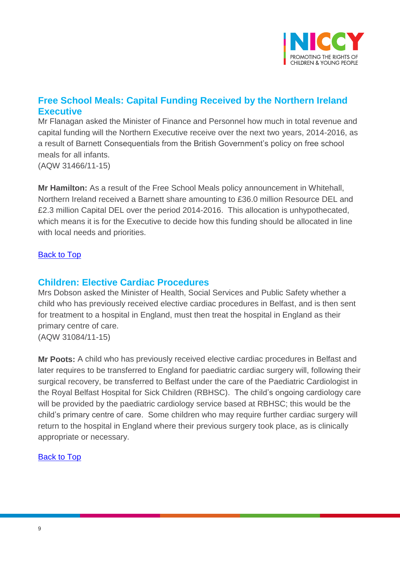

# <span id="page-8-0"></span>**Free School Meals: Capital Funding Received by the Northern Ireland Executive**

Mr Flanagan asked the Minister of Finance and Personnel how much in total revenue and capital funding will the Northern Executive receive over the next two years, 2014-2016, as a result of Barnett Consequentials from the British Government's policy on free school meals for all infants. (AQW 31466/11-15)

**Mr Hamilton:** As a result of the Free School Meals policy announcement in Whitehall, Northern Ireland received a Barnett share amounting to £36.0 million Resource DEL and £2.3 million Capital DEL over the period 2014-2016. This allocation is unhypothecated, which means it is for the Executive to decide how this funding should be allocated in line with local needs and priorities.

### [Back to Top](#page-0-0)

## <span id="page-8-1"></span>**Children: Elective Cardiac Procedures**

Mrs Dobson asked the Minister of Health, Social Services and Public Safety whether a child who has previously received elective cardiac procedures in Belfast, and is then sent for treatment to a hospital in England, must then treat the hospital in England as their primary centre of care.

(AQW 31084/11-15)

**Mr Poots:** A child who has previously received elective cardiac procedures in Belfast and later requires to be transferred to England for paediatric cardiac surgery will, following their surgical recovery, be transferred to Belfast under the care of the Paediatric Cardiologist in the Royal Belfast Hospital for Sick Children (RBHSC). The child's ongoing cardiology care will be provided by the paediatric cardiology service based at RBHSC; this would be the child's primary centre of care. Some children who may require further cardiac surgery will return to the hospital in England where their previous surgery took place, as is clinically appropriate or necessary.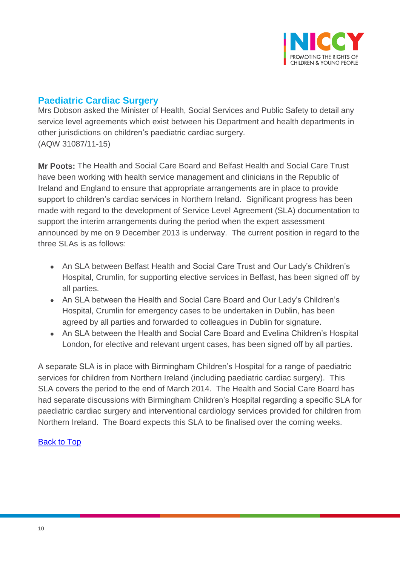

# <span id="page-9-0"></span>**Paediatric Cardiac Surgery**

Mrs Dobson asked the Minister of Health, Social Services and Public Safety to detail any service level agreements which exist between his Department and health departments in other jurisdictions on children's paediatric cardiac surgery. (AQW 31087/11-15)

**Mr Poots:** The Health and Social Care Board and Belfast Health and Social Care Trust have been working with health service management and clinicians in the Republic of Ireland and England to ensure that appropriate arrangements are in place to provide support to children's cardiac services in Northern Ireland. Significant progress has been made with regard to the development of Service Level Agreement (SLA) documentation to support the interim arrangements during the period when the expert assessment announced by me on 9 December 2013 is underway. The current position in regard to the three SLAs is as follows:

- An SLA between Belfast Health and Social Care Trust and Our Lady's Children's Hospital, Crumlin, for supporting elective services in Belfast, has been signed off by all parties.
- An SLA between the Health and Social Care Board and Our Lady's Children's Hospital, Crumlin for emergency cases to be undertaken in Dublin, has been agreed by all parties and forwarded to colleagues in Dublin for signature.
- An SLA between the Health and Social Care Board and Evelina Children's Hospital London, for elective and relevant urgent cases, has been signed off by all parties.

<span id="page-9-1"></span>A separate SLA is in place with Birmingham Children's Hospital for a range of paediatric services for children from Northern Ireland (including paediatric cardiac surgery). This SLA covers the period to the end of March 2014. The Health and Social Care Board has had separate discussions with Birmingham Children's Hospital regarding a specific SLA for paediatric cardiac surgery and interventional cardiology services provided for children from Northern Ireland. The Board expects this SLA to be finalised over the coming weeks.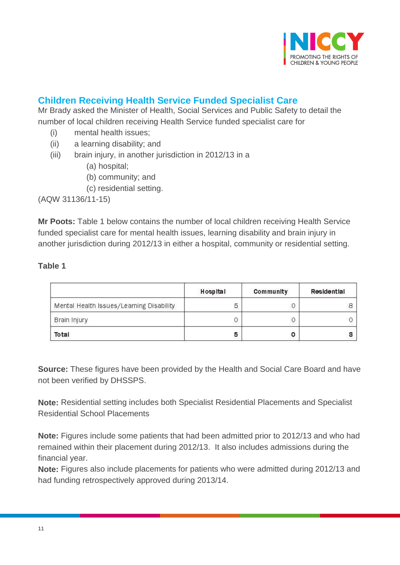

# **Children Receiving Health Service Funded Specialist Care**

Mr Brady asked the Minister of Health, Social Services and Public Safety to detail the number of local children receiving Health Service funded specialist care for

- (i) mental health issues;
- (ii) a learning disability; and
- (iii) brain injury, in another jurisdiction in 2012/13 in a
	- (a) hospital;
	- (b) community; and
	- (c) residential setting.

(AQW 31136/11-15)

**Mr Poots:** Table 1 below contains the number of local children receiving Health Service funded specialist care for mental health issues, learning disability and brain injury in another jurisdiction during 2012/13 in either a hospital, community or residential setting.

### **Table 1**

|                                          | Hospital | Community | Residential |
|------------------------------------------|----------|-----------|-------------|
| Mental Health Issues/Learning Disability | 특        |           |             |
| Brain Injury                             |          |           |             |
| Total                                    |          |           |             |

**Source:** These figures have been provided by the Health and Social Care Board and have not been verified by DHSSPS.

**Note:** Residential setting includes both Specialist Residential Placements and Specialist Residential School Placements

**Note:** Figures include some patients that had been admitted prior to 2012/13 and who had remained within their placement during 2012/13. It also includes admissions during the financial year.

**Note:** Figures also include placements for patients who were admitted during 2012/13 and had funding retrospectively approved during 2013/14.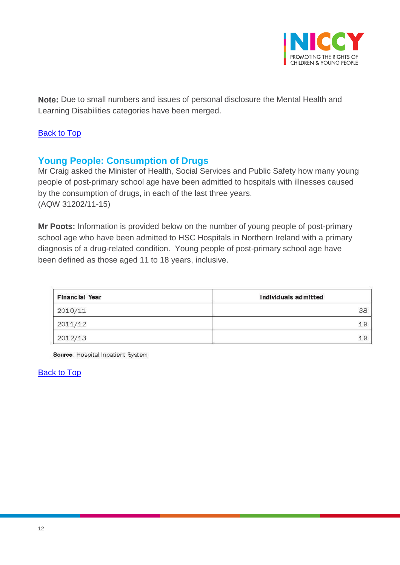

**Note:** Due to small numbers and issues of personal disclosure the Mental Health and Learning Disabilities categories have been merged.

## [Back to Top](#page-0-0)

# <span id="page-11-0"></span>**Young People: Consumption of Drugs**

Mr Craig asked the Minister of Health, Social Services and Public Safety how many young people of post-primary school age have been admitted to hospitals with illnesses caused by the consumption of drugs, in each of the last three years. (AQW 31202/11-15)

**Mr Poots:** Information is provided below on the number of young people of post-primary school age who have been admitted to HSC Hospitals in Northern Ireland with a primary diagnosis of a drug-related condition. Young people of post-primary school age have been defined as those aged 11 to 18 years, inclusive.

| Financial Year | Individuals admitted |  |  |
|----------------|----------------------|--|--|
| 2010/11        | 38                   |  |  |
| 2011/12        | 19                   |  |  |
| 2012/13        | 19                   |  |  |

Source: Hospital Inpatient System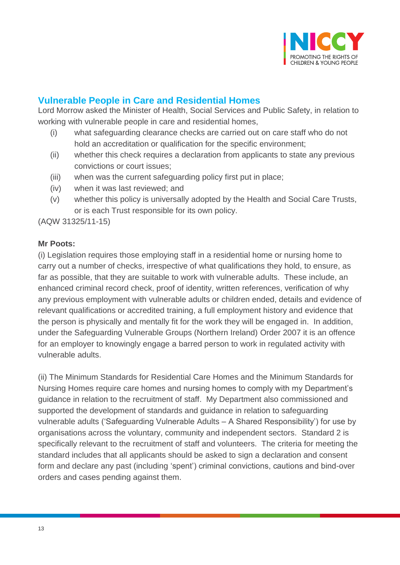

# <span id="page-12-0"></span>**Vulnerable People in Care and Residential Homes**

Lord Morrow asked the Minister of Health, Social Services and Public Safety, in relation to working with vulnerable people in care and residential homes,

- (i) what safeguarding clearance checks are carried out on care staff who do not hold an accreditation or qualification for the specific environment;
- (ii) whether this check requires a declaration from applicants to state any previous convictions or court issues;
- (iii) when was the current safeguarding policy first put in place;
- (iv) when it was last reviewed; and
- (v) whether this policy is universally adopted by the Health and Social Care Trusts, or is each Trust responsible for its own policy.

(AQW 31325/11-15)

#### **Mr Poots:**

(i) Legislation requires those employing staff in a residential home or nursing home to carry out a number of checks, irrespective of what qualifications they hold, to ensure, as far as possible, that they are suitable to work with vulnerable adults. These include, an enhanced criminal record check, proof of identity, written references, verification of why any previous employment with vulnerable adults or children ended, details and evidence of relevant qualifications or accredited training, a full employment history and evidence that the person is physically and mentally fit for the work they will be engaged in. In addition, under the Safeguarding Vulnerable Groups (Northern Ireland) Order 2007 it is an offence for an employer to knowingly engage a barred person to work in regulated activity with vulnerable adults.

(ii) The Minimum Standards for Residential Care Homes and the Minimum Standards for Nursing Homes require care homes and nursing homes to comply with my Department's guidance in relation to the recruitment of staff. My Department also commissioned and supported the development of standards and guidance in relation to safeguarding vulnerable adults ('Safeguarding Vulnerable Adults – A Shared Responsibility') for use by organisations across the voluntary, community and independent sectors. Standard 2 is specifically relevant to the recruitment of staff and volunteers. The criteria for meeting the standard includes that all applicants should be asked to sign a declaration and consent form and declare any past (including 'spent') criminal convictions, cautions and bind-over orders and cases pending against them.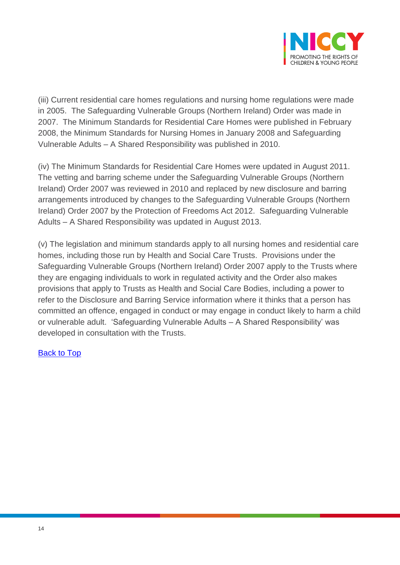

(iii) Current residential care homes regulations and nursing home regulations were made in 2005. The Safeguarding Vulnerable Groups (Northern Ireland) Order was made in 2007. The Minimum Standards for Residential Care Homes were published in February 2008, the Minimum Standards for Nursing Homes in January 2008 and Safeguarding Vulnerable Adults – A Shared Responsibility was published in 2010.

(iv) The Minimum Standards for Residential Care Homes were updated in August 2011. The vetting and barring scheme under the Safeguarding Vulnerable Groups (Northern Ireland) Order 2007 was reviewed in 2010 and replaced by new disclosure and barring arrangements introduced by changes to the Safeguarding Vulnerable Groups (Northern Ireland) Order 2007 by the Protection of Freedoms Act 2012. Safeguarding Vulnerable Adults – A Shared Responsibility was updated in August 2013.

(v) The legislation and minimum standards apply to all nursing homes and residential care homes, including those run by Health and Social Care Trusts. Provisions under the Safeguarding Vulnerable Groups (Northern Ireland) Order 2007 apply to the Trusts where they are engaging individuals to work in regulated activity and the Order also makes provisions that apply to Trusts as Health and Social Care Bodies, including a power to refer to the Disclosure and Barring Service information where it thinks that a person has committed an offence, engaged in conduct or may engage in conduct likely to harm a child or vulnerable adult. 'Safeguarding Vulnerable Adults – A Shared Responsibility' was developed in consultation with the Trusts.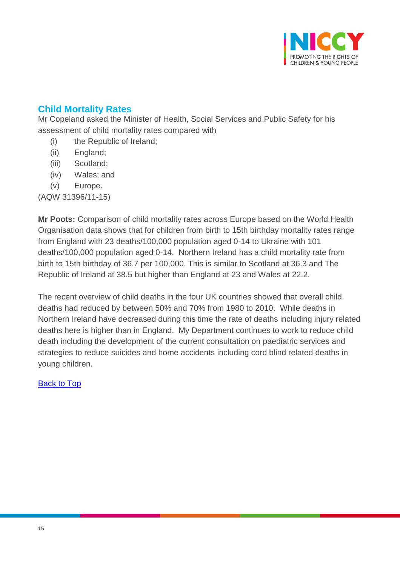

# <span id="page-14-0"></span>**Child Mortality Rates**

Mr Copeland asked the Minister of Health, Social Services and Public Safety for his assessment of child mortality rates compared with

- (i) the Republic of Ireland;
- (ii) England;
- (iii) Scotland;
- (iv) Wales; and
- (v) Europe.

(AQW 31396/11-15)

**Mr Poots:** Comparison of child mortality rates across Europe based on the World Health Organisation data shows that for children from birth to 15th birthday mortality rates range from England with 23 deaths/100,000 population aged 0-14 to Ukraine with 101 deaths/100,000 population aged 0-14. Northern Ireland has a child mortality rate from birth to 15th birthday of 36.7 per 100,000. This is similar to Scotland at 36.3 and The Republic of Ireland at 38.5 but higher than England at 23 and Wales at 22.2.

The recent overview of child deaths in the four UK countries showed that overall child deaths had reduced by between 50% and 70% from 1980 to 2010. While deaths in Northern Ireland have decreased during this time the rate of deaths including injury related deaths here is higher than in England. My Department continues to work to reduce child death including the development of the current consultation on paediatric services and strategies to reduce suicides and home accidents including cord blind related deaths in young children.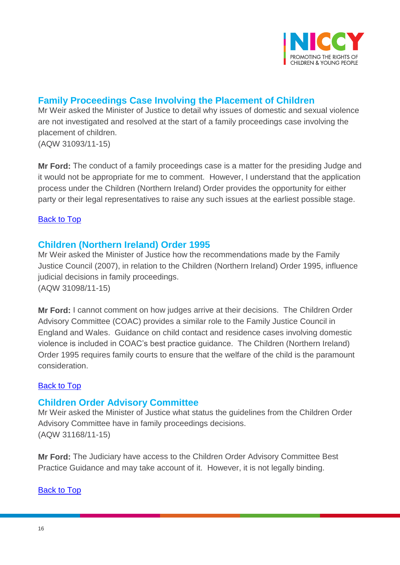

# <span id="page-15-0"></span>**Family Proceedings Case Involving the Placement of Children**

Mr Weir asked the Minister of Justice to detail why issues of domestic and sexual violence are not investigated and resolved at the start of a family proceedings case involving the placement of children.

(AQW 31093/11-15)

**Mr Ford:** The conduct of a family proceedings case is a matter for the presiding Judge and it would not be appropriate for me to comment. However, I understand that the application process under the Children (Northern Ireland) Order provides the opportunity for either party or their legal representatives to raise any such issues at the earliest possible stage.

## [Back to Top](#page-0-0)

# <span id="page-15-1"></span>**Children (Northern Ireland) Order 1995**

Mr Weir asked the Minister of Justice how the recommendations made by the Family Justice Council (2007), in relation to the Children (Northern Ireland) Order 1995, influence judicial decisions in family proceedings. (AQW 31098/11-15)

**Mr Ford:** I cannot comment on how judges arrive at their decisions. The Children Order Advisory Committee (COAC) provides a similar role to the Family Justice Council in England and Wales. Guidance on child contact and residence cases involving domestic violence is included in COAC's best practice guidance. The Children (Northern Ireland) Order 1995 requires family courts to ensure that the welfare of the child is the paramount consideration.

## [Back to Top](#page-0-0)

# <span id="page-15-2"></span>**Children Order Advisory Committee**

Mr Weir asked the Minister of Justice what status the guidelines from the Children Order Advisory Committee have in family proceedings decisions. (AQW 31168/11-15)

**Mr Ford:** The Judiciary have access to the Children Order Advisory Committee Best Practice Guidance and may take account of it. However, it is not legally binding.